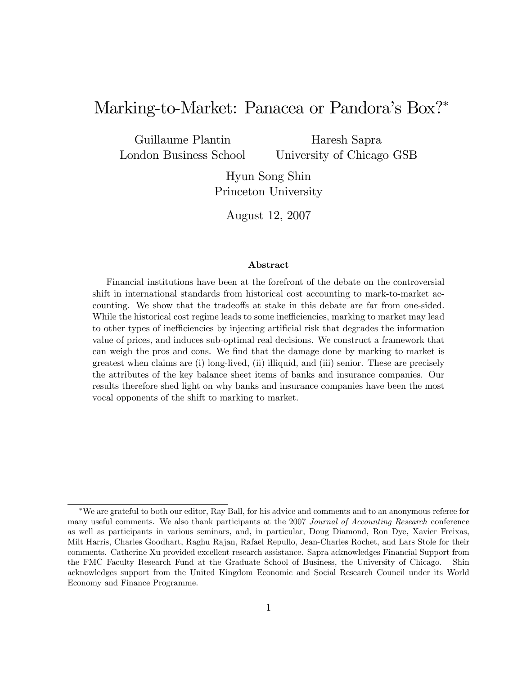# Marking-to-Market: Panacea or Pandora's Box?\*

Guillaume Plantin London Business School

Haresh Sapra University of Chicago GSB

Hyun Song Shin Princeton University

August 12, 2007

#### Abstract

Financial institutions have been at the forefront of the debate on the controversial shift in international standards from historical cost accounting to mark-to-market accounting. We show that the tradeoffs at stake in this debate are far from one-sided. While the historical cost regime leads to some inefficiencies, marking to market may lead to other types of inefficiencies by injecting artificial risk that degrades the information value of prices, and induces sub-optimal real decisions. We construct a framework that can weigh the pros and cons. We find that the damage done by marking to market is greatest when claims are (i) long-lived, (ii) illiquid, and (iii) senior. These are precisely the attributes of the key balance sheet items of banks and insurance companies. Our results therefore shed light on why banks and insurance companies have been the most vocal opponents of the shift to marking to market.

We are grateful to both our editor, Ray Ball, for his advice and comments and to an anonymous referee for many useful comments. We also thank participants at the 2007 Journal of Accounting Research conference as well as participants in various seminars, and, in particular, Doug Diamond, Ron Dye, Xavier Freixas, Milt Harris, Charles Goodhart, Raghu Rajan, Rafael Repullo, Jean-Charles Rochet, and Lars Stole for their comments. Catherine Xu provided excellent research assistance. Sapra acknowledges Financial Support from the FMC Faculty Research Fund at the Graduate School of Business, the University of Chicago. Shin acknowledges support from the United Kingdom Economic and Social Research Council under its World Economy and Finance Programme.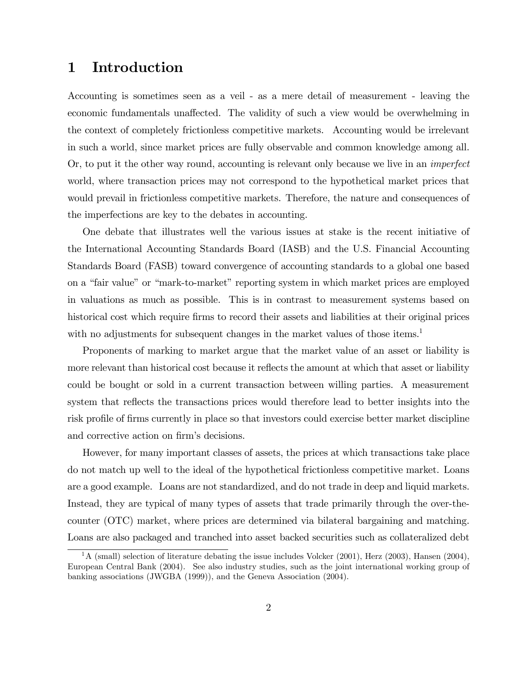## 1 Introduction

Accounting is sometimes seen as a veil - as a mere detail of measurement - leaving the economic fundamentals unaffected. The validity of such a view would be overwhelming in the context of completely frictionless competitive markets. Accounting would be irrelevant in such a world, since market prices are fully observable and common knowledge among all. Or, to put it the other way round, accounting is relevant only because we live in an *imperfect* world, where transaction prices may not correspond to the hypothetical market prices that would prevail in frictionless competitive markets. Therefore, the nature and consequences of the imperfections are key to the debates in accounting.

One debate that illustrates well the various issues at stake is the recent initiative of the International Accounting Standards Board (IASB) and the U.S. Financial Accounting Standards Board (FASB) toward convergence of accounting standards to a global one based on a "fair value" or "mark-to-market" reporting system in which market prices are employed in valuations as much as possible. This is in contrast to measurement systems based on historical cost which require firms to record their assets and liabilities at their original prices with no adjustments for subsequent changes in the market values of those items.<sup>1</sup>

Proponents of marking to market argue that the market value of an asset or liability is more relevant than historical cost because it reflects the amount at which that asset or liability could be bought or sold in a current transaction between willing parties. A measurement system that reflects the transactions prices would therefore lead to better insights into the risk profile of firms currently in place so that investors could exercise better market discipline and corrective action on firm's decisions.

However, for many important classes of assets, the prices at which transactions take place do not match up well to the ideal of the hypothetical frictionless competitive market. Loans are a good example. Loans are not standardized, and do not trade in deep and liquid markets. Instead, they are typical of many types of assets that trade primarily through the over-thecounter (OTC) market, where prices are determined via bilateral bargaining and matching. Loans are also packaged and tranched into asset backed securities such as collateralized debt

 $1\text{A}$  (small) selection of literature debating the issue includes Volcker (2001), Herz (2003), Hansen (2004), European Central Bank (2004). See also industry studies, such as the joint international working group of banking associations (JWGBA (1999)), and the Geneva Association (2004).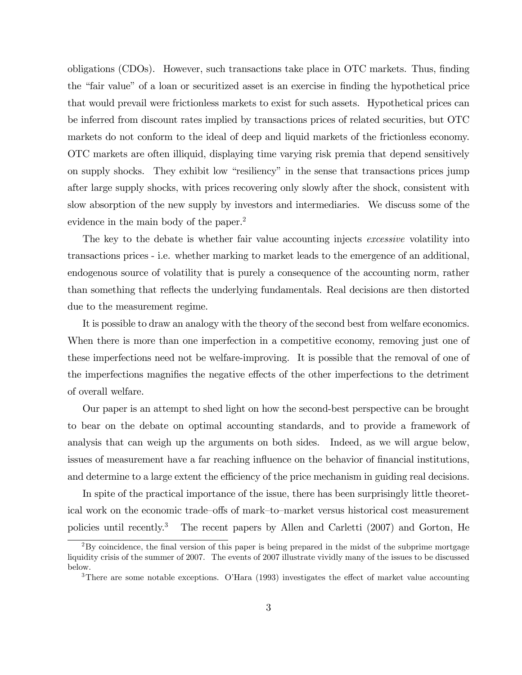obligations (CDOs). However, such transactions take place in  $\text{OTC}$  markets. Thus, finding the "fair value" of a loan or securitized asset is an exercise in finding the hypothetical price that would prevail were frictionless markets to exist for such assets. Hypothetical prices can be inferred from discount rates implied by transactions prices of related securities, but OTC markets do not conform to the ideal of deep and liquid markets of the frictionless economy. OTC markets are often illiquid, displaying time varying risk premia that depend sensitively on supply shocks. They exhibit low "resiliency" in the sense that transactions prices jump after large supply shocks, with prices recovering only slowly after the shock, consistent with slow absorption of the new supply by investors and intermediaries. We discuss some of the evidence in the main body of the paper.<sup>2</sup>

The key to the debate is whether fair value accounting injects excessive volatility into transactions prices - i.e. whether marking to market leads to the emergence of an additional, endogenous source of volatility that is purely a consequence of the accounting norm, rather than something that reflects the underlying fundamentals. Real decisions are then distorted due to the measurement regime.

It is possible to draw an analogy with the theory of the second best from welfare economics. When there is more than one imperfection in a competitive economy, removing just one of these imperfections need not be welfare-improving. It is possible that the removal of one of the imperfections magnifies the negative effects of the other imperfections to the detriment of overall welfare.

Our paper is an attempt to shed light on how the second-best perspective can be brought to bear on the debate on optimal accounting standards, and to provide a framework of analysis that can weigh up the arguments on both sides. Indeed, as we will argue below, issues of measurement have a far reaching influence on the behavior of financial institutions, and determine to a large extent the efficiency of the price mechanism in guiding real decisions.

In spite of the practical importance of the issue, there has been surprisingly little theoretical work on the economic trade–offs of mark–to–market versus historical cost measurement policies until recently.<sup>3</sup> The recent papers by Allen and Carletti (2007) and Gorton, He

 $^{2}$ By coincidence, the final version of this paper is being prepared in the midst of the subprime mortgage liquidity crisis of the summer of 2007. The events of 2007 illustrate vividly many of the issues to be discussed below.

<sup>&</sup>lt;sup>3</sup>There are some notable exceptions. O'Hara (1993) investigates the effect of market value accounting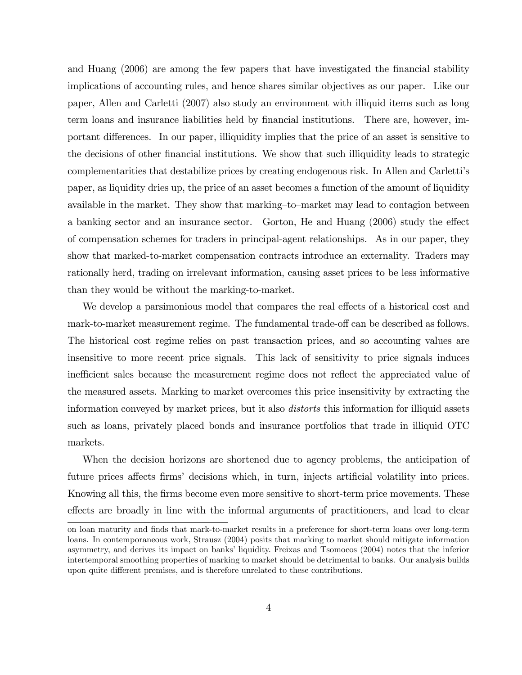and Huang (2006) are among the few papers that have investigated the financial stability implications of accounting rules, and hence shares similar objectives as our paper. Like our paper, Allen and Carletti (2007) also study an environment with illiquid items such as long term loans and insurance liabilities held by financial institutions. There are, however, important differences. In our paper, illiquidity implies that the price of an asset is sensitive to the decisions of other financial institutions. We show that such illiquidity leads to strategic complementarities that destabilize prices by creating endogenous risk. In Allen and Carlettiís paper, as liquidity dries up, the price of an asset becomes a function of the amount of liquidity available in the market. They show that marking-to-market may lead to contagion between a banking sector and an insurance sector. Gorton, He and Huang  $(2006)$  study the effect of compensation schemes for traders in principal-agent relationships. As in our paper, they show that marked-to-market compensation contracts introduce an externality. Traders may rationally herd, trading on irrelevant information, causing asset prices to be less informative than they would be without the marking-to-market.

We develop a parsimonious model that compares the real effects of a historical cost and mark-to-market measurement regime. The fundamental trade-off can be described as follows. The historical cost regime relies on past transaction prices, and so accounting values are insensitive to more recent price signals. This lack of sensitivity to price signals induces inefficient sales because the measurement regime does not reflect the appreciated value of the measured assets. Marking to market overcomes this price insensitivity by extracting the information conveyed by market prices, but it also distorts this information for illiquid assets such as loans, privately placed bonds and insurance portfolios that trade in illiquid OTC markets.

When the decision horizons are shortened due to agency problems, the anticipation of future prices affects firms decisions which, in turn, injects artificial volatility into prices. Knowing all this, the firms become even more sensitive to short-term price movements. These effects are broadly in line with the informal arguments of practitioners, and lead to clear

on loan maturity and Önds that mark-to-market results in a preference for short-term loans over long-term loans. In contemporaneous work, Strausz (2004) posits that marking to market should mitigate information asymmetry, and derives its impact on banks' liquidity. Freixas and Tsomocos (2004) notes that the inferior intertemporal smoothing properties of marking to market should be detrimental to banks. Our analysis builds upon quite different premises, and is therefore unrelated to these contributions.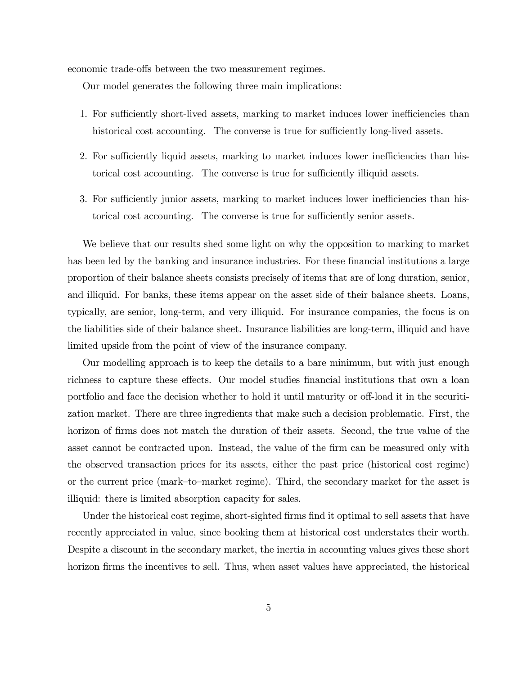economic trade-offs between the two measurement regimes.

Our model generates the following three main implications:

- 1. For sufficiently short-lived assets, marking to market induces lower inefficiencies than historical cost accounting. The converse is true for sufficiently long-lived assets.
- 2. For sufficiently liquid assets, marking to market induces lower inefficiencies than historical cost accounting. The converse is true for sufficiently illiquid assets.
- 3. For sufficiently junior assets, marking to market induces lower inefficiencies than historical cost accounting. The converse is true for sufficiently senior assets.

We believe that our results shed some light on why the opposition to marking to market has been led by the banking and insurance industries. For these financial institutions a large proportion of their balance sheets consists precisely of items that are of long duration, senior, and illiquid. For banks, these items appear on the asset side of their balance sheets. Loans, typically, are senior, long-term, and very illiquid. For insurance companies, the focus is on the liabilities side of their balance sheet. Insurance liabilities are long-term, illiquid and have limited upside from the point of view of the insurance company.

Our modelling approach is to keep the details to a bare minimum, but with just enough richness to capture these effects. Our model studies financial institutions that own a loan portfolio and face the decision whether to hold it until maturity or off-load it in the securitization market. There are three ingredients that make such a decision problematic. First, the horizon of firms does not match the duration of their assets. Second, the true value of the asset cannot be contracted upon. Instead, the value of the firm can be measured only with the observed transaction prices for its assets, either the past price (historical cost regime) or the current price (mark–to–market regime). Third, the secondary market for the asset is illiquid: there is limited absorption capacity for sales.

Under the historical cost regime, short-sighted firms find it optimal to sell assets that have recently appreciated in value, since booking them at historical cost understates their worth. Despite a discount in the secondary market, the inertia in accounting values gives these short horizon firms the incentives to sell. Thus, when asset values have appreciated, the historical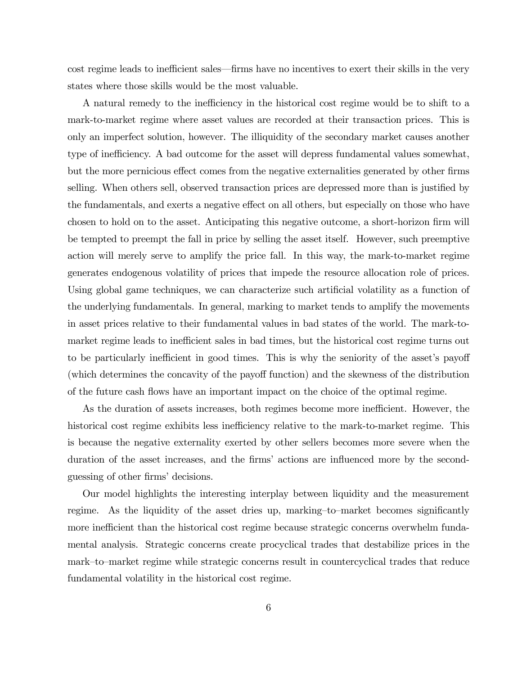cost regime leads to inefficient sales—firms have no incentives to exert their skills in the very states where those skills would be the most valuable.

A natural remedy to the inefficiency in the historical cost regime would be to shift to a mark-to-market regime where asset values are recorded at their transaction prices. This is only an imperfect solution, however. The illiquidity of the secondary market causes another type of inefficiency. A bad outcome for the asset will depress fundamental values somewhat, but the more pernicious effect comes from the negative externalities generated by other firms selling. When others sell, observed transaction prices are depressed more than is justified by the fundamentals, and exerts a negative effect on all others, but especially on those who have chosen to hold on to the asset. Anticipating this negative outcome, a short-horizon firm will be tempted to preempt the fall in price by selling the asset itself. However, such preemptive action will merely serve to amplify the price fall. In this way, the mark-to-market regime generates endogenous volatility of prices that impede the resource allocation role of prices. Using global game techniques, we can characterize such artificial volatility as a function of the underlying fundamentals. In general, marking to market tends to amplify the movements in asset prices relative to their fundamental values in bad states of the world. The mark-tomarket regime leads to inefficient sales in bad times, but the historical cost regime turns out to be particularly inefficient in good times. This is why the seniority of the asset's payoff (which determines the concavity of the payoff function) and the skewness of the distribution of the future cash áows have an important impact on the choice of the optimal regime.

As the duration of assets increases, both regimes become more inefficient. However, the historical cost regime exhibits less inefficiency relative to the mark-to-market regime. This is because the negative externality exerted by other sellers becomes more severe when the duration of the asset increases, and the firms' actions are influenced more by the secondguessing of other firms' decisions.

Our model highlights the interesting interplay between liquidity and the measurement regime. As the liquidity of the asset dries up, marking-to-market becomes significantly more inefficient than the historical cost regime because strategic concerns overwhelm fundamental analysis. Strategic concerns create procyclical trades that destabilize prices in the mark–to–market regime while strategic concerns result in countercyclical trades that reduce fundamental volatility in the historical cost regime.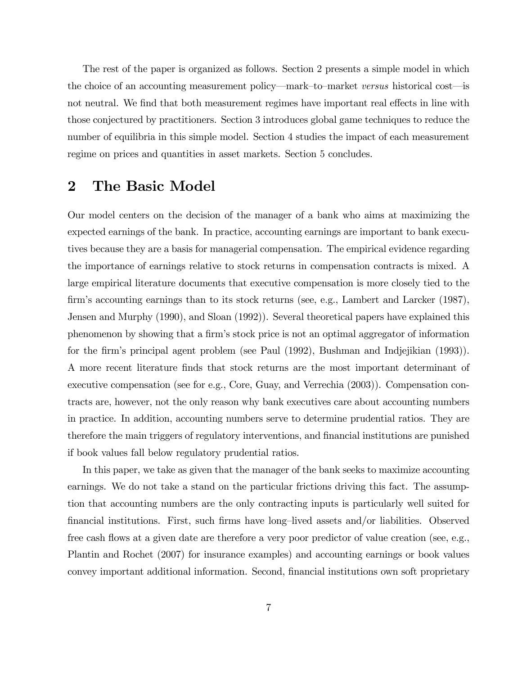The rest of the paper is organized as follows. Section 2 presents a simple model in which the choice of an accounting measurement policy—mark-to-market versus historical cost—is not neutral. We find that both measurement regimes have important real effects in line with those conjectured by practitioners. Section 3 introduces global game techniques to reduce the number of equilibria in this simple model. Section 4 studies the impact of each measurement regime on prices and quantities in asset markets. Section 5 concludes.

## 2 The Basic Model

Our model centers on the decision of the manager of a bank who aims at maximizing the expected earnings of the bank. In practice, accounting earnings are important to bank executives because they are a basis for managerial compensation. The empirical evidence regarding the importance of earnings relative to stock returns in compensation contracts is mixed. A large empirical literature documents that executive compensation is more closely tied to the firm's accounting earnings than to its stock returns (see, e.g., Lambert and Larcker  $(1987)$ , Jensen and Murphy (1990), and Sloan (1992)). Several theoretical papers have explained this phenomenon by showing that a Örmís stock price is not an optimal aggregator of information for the firm's principal agent problem (see Paul (1992), Bushman and Indjejikian (1993)). A more recent literature Önds that stock returns are the most important determinant of executive compensation (see for e.g., Core, Guay, and Verrechia (2003)). Compensation contracts are, however, not the only reason why bank executives care about accounting numbers in practice. In addition, accounting numbers serve to determine prudential ratios. They are therefore the main triggers of regulatory interventions, and financial institutions are punished if book values fall below regulatory prudential ratios.

In this paper, we take as given that the manager of the bank seeks to maximize accounting earnings. We do not take a stand on the particular frictions driving this fact. The assumption that accounting numbers are the only contracting inputs is particularly well suited for financial institutions. First, such firms have long-lived assets and/or liabilities. Observed free cash flows at a given date are therefore a very poor predictor of value creation (see, e.g., Plantin and Rochet (2007) for insurance examples) and accounting earnings or book values convey important additional information. Second, financial institutions own soft proprietary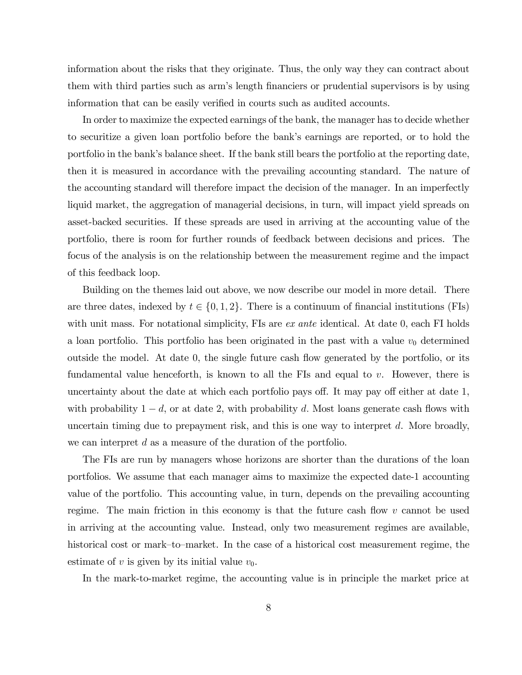information about the risks that they originate. Thus, the only way they can contract about them with third parties such as arm's length financiers or prudential supervisors is by using information that can be easily verified in courts such as audited accounts.

In order to maximize the expected earnings of the bank, the manager has to decide whether to securitize a given loan portfolio before the bankís earnings are reported, or to hold the portfolio in the bank's balance sheet. If the bank still bears the portfolio at the reporting date, then it is measured in accordance with the prevailing accounting standard. The nature of the accounting standard will therefore impact the decision of the manager. In an imperfectly liquid market, the aggregation of managerial decisions, in turn, will impact yield spreads on asset-backed securities. If these spreads are used in arriving at the accounting value of the portfolio, there is room for further rounds of feedback between decisions and prices. The focus of the analysis is on the relationship between the measurement regime and the impact of this feedback loop.

Building on the themes laid out above, we now describe our model in more detail. There are three dates, indexed by  $t \in \{0, 1, 2\}$ . There is a continuum of financial institutions (FIs) with unit mass. For notational simplicity, FIs are  $ex$  ante identical. At date 0, each FI holds a loan portfolio. This portfolio has been originated in the past with a value  $v_0$  determined outside the model. At date 0, the single future cash flow generated by the portfolio, or its fundamental value henceforth, is known to all the FIs and equal to  $v$ . However, there is uncertainty about the date at which each portfolio pays off. It may pay off either at date  $1$ , with probability  $1 - d$ , or at date 2, with probability d. Most loans generate cash flows with uncertain timing due to prepayment risk, and this is one way to interpret d. More broadly, we can interpret d as a measure of the duration of the portfolio.

The FIs are run by managers whose horizons are shorter than the durations of the loan portfolios. We assume that each manager aims to maximize the expected date-1 accounting value of the portfolio. This accounting value, in turn, depends on the prevailing accounting regime. The main friction in this economy is that the future cash flow  $v$  cannot be used in arriving at the accounting value. Instead, only two measurement regimes are available, historical cost or mark-to-market. In the case of a historical cost measurement regime, the estimate of  $v$  is given by its initial value  $v_0$ .

In the mark-to-market regime, the accounting value is in principle the market price at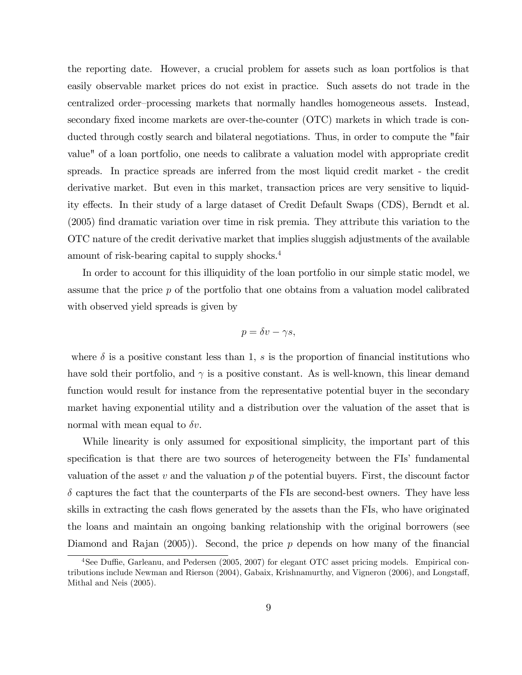the reporting date. However, a crucial problem for assets such as loan portfolios is that easily observable market prices do not exist in practice. Such assets do not trade in the centralized order–processing markets that normally handles homogeneous assets. Instead, secondary fixed income markets are over-the-counter (OTC) markets in which trade is conducted through costly search and bilateral negotiations. Thus, in order to compute the "fair value" of a loan portfolio, one needs to calibrate a valuation model with appropriate credit spreads. In practice spreads are inferred from the most liquid credit market - the credit derivative market. But even in this market, transaction prices are very sensitive to liquidity effects. In their study of a large dataset of Credit Default Swaps (CDS), Berndt et al. (2005) find dramatic variation over time in risk premia. They attribute this variation to the OTC nature of the credit derivative market that implies sluggish adjustments of the available amount of risk-bearing capital to supply shocks.<sup>4</sup>

In order to account for this illiquidity of the loan portfolio in our simple static model, we assume that the price  $p$  of the portfolio that one obtains from a valuation model calibrated with observed yield spreads is given by

$$
p = \delta v - \gamma s,
$$

where  $\delta$  is a positive constant less than 1, s is the proportion of financial institutions who have sold their portfolio, and  $\gamma$  is a positive constant. As is well-known, this linear demand function would result for instance from the representative potential buyer in the secondary market having exponential utility and a distribution over the valuation of the asset that is normal with mean equal to  $\delta v$ .

While linearity is only assumed for expositional simplicity, the important part of this specification is that there are two sources of heterogeneity between the FIs' fundamental valuation of the asset v and the valuation  $p$  of the potential buyers. First, the discount factor  $\delta$  captures the fact that the counterparts of the FIs are second-best owners. They have less skills in extracting the cash flows generated by the assets than the FIs, who have originated the loans and maintain an ongoing banking relationship with the original borrowers (see Diamond and Rajan  $(2005)$ . Second, the price p depends on how many of the financial

<sup>&</sup>lt;sup>4</sup>See Duffie, Garleanu, and Pedersen (2005, 2007) for elegant OTC asset pricing models. Empirical contributions include Newman and Rierson (2004), Gabaix, Krishnamurthy, and Vigneron (2006), and Longstaff, Mithal and Neis (2005).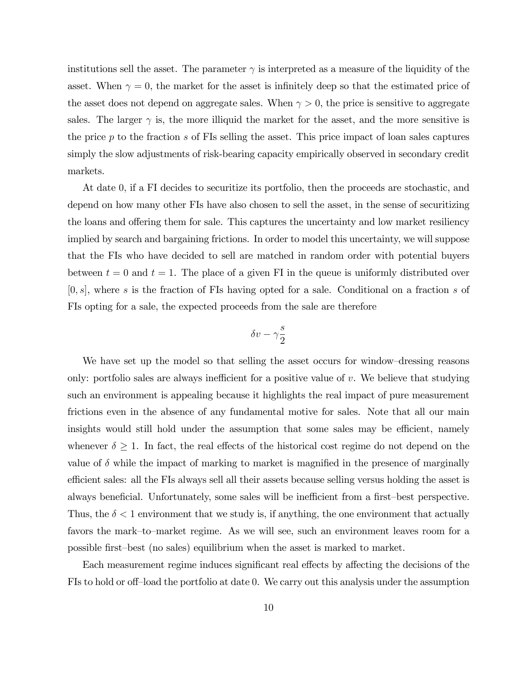institutions sell the asset. The parameter  $\gamma$  is interpreted as a measure of the liquidity of the asset. When  $\gamma = 0$ , the market for the asset is infinitely deep so that the estimated price of the asset does not depend on aggregate sales. When  $\gamma > 0$ , the price is sensitive to aggregate sales. The larger  $\gamma$  is, the more illiquid the market for the asset, and the more sensitive is the price  $p$  to the fraction  $s$  of FIs selling the asset. This price impact of loan sales captures simply the slow adjustments of risk-bearing capacity empirically observed in secondary credit markets.

At date 0, if a FI decides to securitize its portfolio, then the proceeds are stochastic, and depend on how many other FIs have also chosen to sell the asset, in the sense of securitizing the loans and offering them for sale. This captures the uncertainty and low market resiliency implied by search and bargaining frictions. In order to model this uncertainty, we will suppose that the FIs who have decided to sell are matched in random order with potential buyers between  $t = 0$  and  $t = 1$ . The place of a given FI in the queue is uniformly distributed over  $[0, s]$ , where s is the fraction of FIs having opted for a sale. Conditional on a fraction s of FIs opting for a sale, the expected proceeds from the sale are therefore

$$
\delta v - \gamma \frac{s}{2}
$$

We have set up the model so that selling the asset occurs for window-dressing reasons only: portfolio sales are always inefficient for a positive value of  $v$ . We believe that studying such an environment is appealing because it highlights the real impact of pure measurement frictions even in the absence of any fundamental motive for sales. Note that all our main insights would still hold under the assumption that some sales may be efficient, namely whenever  $\delta \geq 1$ . In fact, the real effects of the historical cost regime do not depend on the value of  $\delta$  while the impact of marking to market is magnified in the presence of marginally efficient sales: all the FIs always sell all their assets because selling versus holding the asset is always beneficial. Unfortunately, some sales will be inefficient from a first–best perspective. Thus, the  $\delta < 1$  environment that we study is, if anything, the one environment that actually favors the mark-to-market regime. As we will see, such an environment leaves room for a possible first–best (no sales) equilibrium when the asset is marked to market.

Each measurement regime induces significant real effects by affecting the decisions of the FIs to hold or off-load the portfolio at date 0. We carry out this analysis under the assumption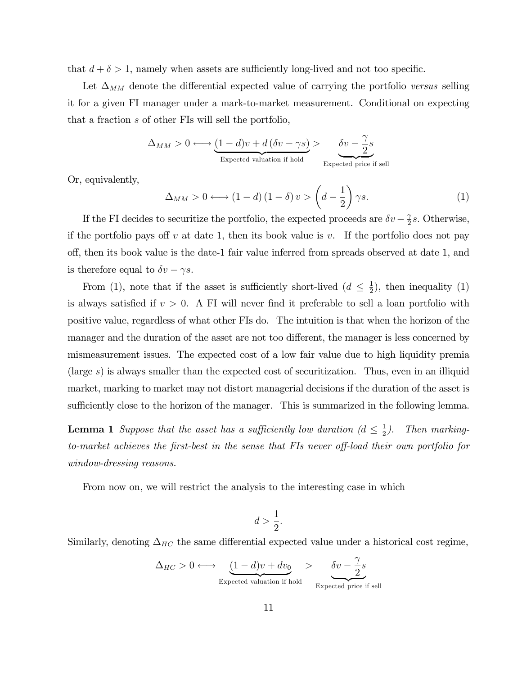that  $d + \delta > 1$ , namely when assets are sufficiently long-lived and not too specific.

Let  $\Delta_{MM}$  denote the differential expected value of carrying the portfolio versus selling it for a given FI manager under a mark-to-market measurement. Conditional on expecting that a fraction s of other FIs will sell the portfolio,

$$
\Delta_{MM} > 0 \longleftrightarrow \underbrace{(1-d)v + d(\delta v - \gamma s)}_{\text{Expected valuation if hold}} > \underbrace{\delta v - \frac{\gamma}{2}s}_{\text{Expected price if sell}}
$$

Or, equivalently,

$$
\Delta_{MM} > 0 \longleftrightarrow (1 - d) (1 - \delta) v > \left( d - \frac{1}{2} \right) \gamma s. \tag{1}
$$

If the FI decides to securitize the portfolio, the expected proceeds are  $\delta v - \frac{\gamma}{2}$  $\frac{\gamma}{2}$ s. Otherwise, if the portfolio pays of v at date 1, then its book value is v. If the portfolio does not pay off, then its book value is the date-1 fair value inferred from spreads observed at date 1, and is therefore equal to  $\delta v - \gamma s$ .

From (1), note that if the asset is sufficiently short-lived  $(d \leq \frac{1}{2})$  $(\frac{1}{2})$ , then inequality (1) is always satisfied if  $v > 0$ . A FI will never find it preferable to sell a loan portfolio with positive value, regardless of what other FIs do. The intuition is that when the horizon of the manager and the duration of the asset are not too different, the manager is less concerned by mismeasurement issues. The expected cost of a low fair value due to high liquidity premia (large  $s$ ) is always smaller than the expected cost of securitization. Thus, even in an illiquid market, marking to market may not distort managerial decisions if the duration of the asset is sufficiently close to the horizon of the manager. This is summarized in the following lemma.

**Lemma 1** Suppose that the asset has a sufficiently low duration  $(d \leq \frac{1}{2})$  $\frac{1}{2}$ ). Then markingto-market achieves the first-best in the sense that FIs never off-load their own portfolio for window-dressing reasons.

From now on, we will restrict the analysis to the interesting case in which

$$
d > \frac{1}{2}.
$$

Similarly, denoting  $\Delta_{HC}$  the same differential expected value under a historical cost regime,

$$
\Delta_{HC} > 0 \longleftrightarrow \underbrace{(1-d)v + dv_0}_{\text{Expected valuation if hold}} > \underbrace{\delta v - \frac{\gamma}{2}s}_{\text{Expected price if sell}}
$$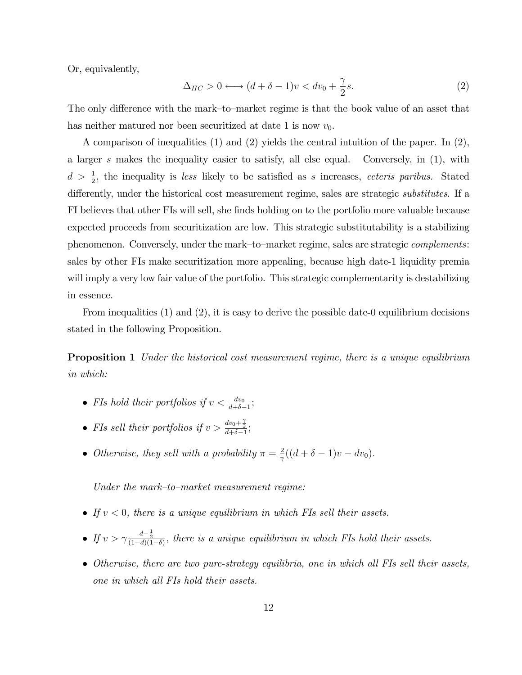Or, equivalently,

$$
\Delta_{HC} > 0 \longleftrightarrow (d + \delta - 1)v < dv_0 + \frac{\gamma}{2}s. \tag{2}
$$

The only difference with the mark–to–market regime is that the book value of an asset that has neither matured nor been securitized at date 1 is now  $v_0$ .

A comparison of inequalities (1) and (2) yields the central intuition of the paper. In (2), a larger s makes the inequality easier to satisfy, all else equal. Conversely, in (1), with  $d > \frac{1}{2}$ , the inequality is less likely to be satisfied as s increases, *ceteris paribus*. Stated differently, under the historical cost measurement regime, sales are strategic *substitutes*. If a FI believes that other FIs will sell, she Önds holding on to the portfolio more valuable because expected proceeds from securitization are low. This strategic substitutability is a stabilizing phenomenon. Conversely, under the mark-to-market regime, sales are strategic *complements*: sales by other FIs make securitization more appealing, because high date-1 liquidity premia will imply a very low fair value of the portfolio. This strategic complementarity is destabilizing in essence.

From inequalities (1) and (2), it is easy to derive the possible date-0 equilibrium decisions stated in the following Proposition.

**Proposition 1** Under the historical cost measurement regime, there is a unique equilibrium in which:

- FIs hold their portfolios if  $v < \frac{dv_0}{d + \delta 1}$ ;
- *FIs sell their portfolios if*  $v > \frac{dv_0 + \frac{\gamma}{2}}{d + \delta 1}$ ;
- Otherwise, they sell with a probability  $\pi = \frac{2}{\gamma}$  $\frac{2}{\gamma}((d + \delta - 1)v - dv_0).$

Under the mark-to-market measurement regime:

- If  $v < 0$ , there is a unique equilibrium in which FIs sell their assets.
- If  $v > \gamma \frac{d \frac{1}{2}}{(1 d)(1 \delta)}$ , there is a unique equilibrium in which FIs hold their assets.
- Otherwise, there are two pure-strategy equilibria, one in which all FIs sell their assets, one in which all FIs hold their assets.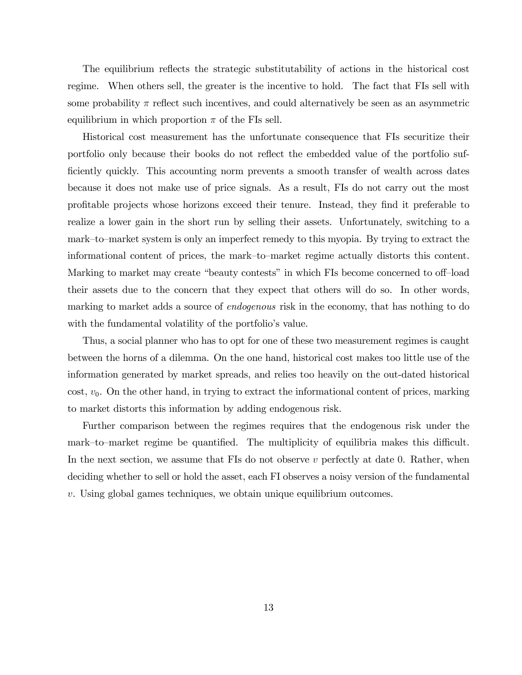The equilibrium reflects the strategic substitutability of actions in the historical cost regime. When others sell, the greater is the incentive to hold. The fact that FIs sell with some probability  $\pi$  reflect such incentives, and could alternatively be seen as an asymmetric equilibrium in which proportion  $\pi$  of the FIs sell.

Historical cost measurement has the unfortunate consequence that FIs securitize their portfolio only because their books do not reflect the embedded value of the portfolio sufficiently quickly. This accounting norm prevents a smooth transfer of wealth across dates because it does not make use of price signals. As a result, FIs do not carry out the most proÖtable projects whose horizons exceed their tenure. Instead, they Önd it preferable to realize a lower gain in the short run by selling their assets. Unfortunately, switching to a mark–to–market system is only an imperfect remedy to this myopia. By trying to extract the informational content of prices, the mark-to-market regime actually distorts this content. Marking to market may create "beauty contests" in which FIs become concerned to off-load their assets due to the concern that they expect that others will do so. In other words, marking to market adds a source of *endogenous* risk in the economy, that has nothing to do with the fundamental volatility of the portfolio's value.

Thus, a social planner who has to opt for one of these two measurement regimes is caught between the horns of a dilemma. On the one hand, historical cost makes too little use of the information generated by market spreads, and relies too heavily on the out-dated historical cost,  $v_0$ . On the other hand, in trying to extract the informational content of prices, marking to market distorts this information by adding endogenous risk.

Further comparison between the regimes requires that the endogenous risk under the mark-to-market regime be quantified. The multiplicity of equilibria makes this difficult. In the next section, we assume that FIs do not observe  $v$  perfectly at date 0. Rather, when deciding whether to sell or hold the asset, each FI observes a noisy version of the fundamental  $v.$  Using global games techniques, we obtain unique equilibrium outcomes.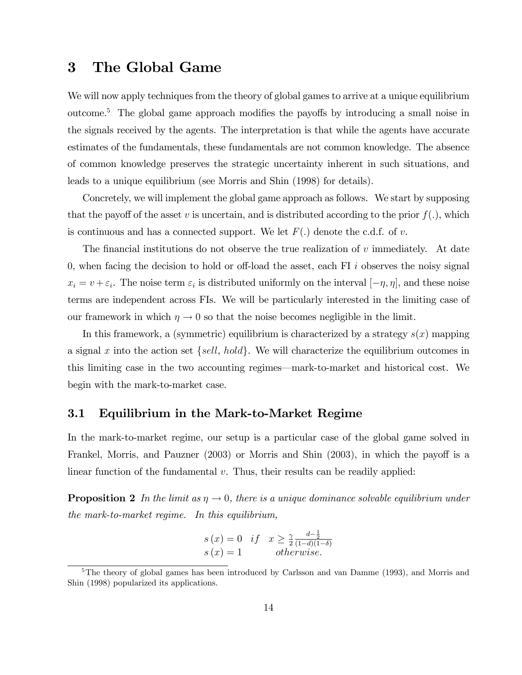### 3 The Global Game

We will now apply techniques from the theory of global games to arrive at a unique equilibrium outcome.<sup>5</sup> The global game approach modifies the payoffs by introducing a small noise in the signals received by the agents. The interpretation is that while the agents have accurate estimates of the fundamentals, these fundamentals are not common knowledge. The absence of common knowledge preserves the strategic uncertainty inherent in such situations, and leads to a unique equilibrium (see Morris and Shin (1998) for details).

Concretely, we will implement the global game approach as follows. We start by supposing that the payoff of the asset v is uncertain, and is distributed according to the prior  $f(.)$ , which is continuous and has a connected support. We let  $F(.)$  denote the c.d.f. of v.

The financial institutions do not observe the true realization of  $v$  immediately. At date 0, when facing the decision to hold or off-load the asset, each  $FI$  i observes the noisy signal  $x_i = v + \varepsilon_i$ . The noise term  $\varepsilon_i$  is distributed uniformly on the interval  $[-\eta, \eta]$ , and these noise terms are independent across FIs. We will be particularly interested in the limiting case of our framework in which  $\eta \to 0$  so that the noise becomes negligible in the limit.

In this framework, a (symmetric) equilibrium is characterized by a strategy  $s(x)$  mapping a signal x into the action set  $\{sell, hold\}$ . We will characterize the equilibrium outcomes in this limiting case in the two accounting regimes—mark-to-market and historical cost. We begin with the mark-to-market case.

### 3.1 Equilibrium in the Mark-to-Market Regime

In the mark-to-market regime, our setup is a particular case of the global game solved in Frankel, Morris, and Pauzner  $(2003)$  or Morris and Shin  $(2003)$ , in which the payoff is a linear function of the fundamental  $v$ . Thus, their results can be readily applied:

**Proposition 2** In the limit as  $\eta \rightarrow 0$ , there is a unique dominance solvable equilibrium under the mark-to-market regime. In this equilibrium,

$$
s(x) = 0 \quad if \quad x \ge \frac{\gamma}{2} \frac{d - \frac{1}{2}}{(1 - d)(1 - \delta)}
$$
  

$$
s(x) = 1 \qquad \text{otherwise.}
$$

<sup>&</sup>lt;sup>5</sup>The theory of global games has been introduced by Carlsson and van Damme (1993), and Morris and Shin (1998) popularized its applications.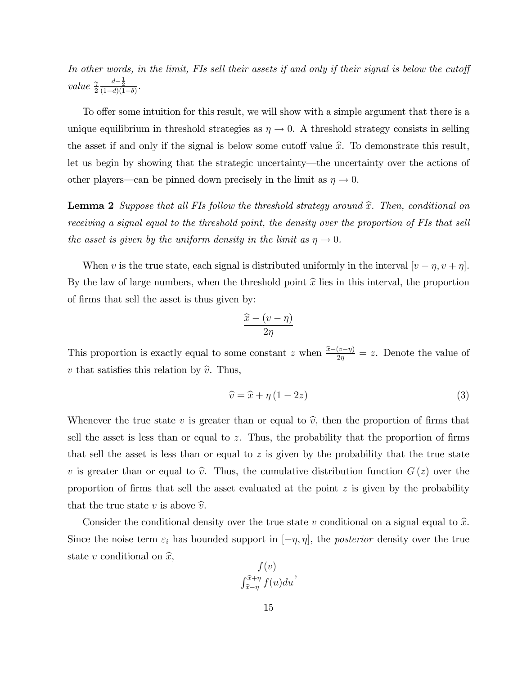In other words, in the limit, FIs sell their assets if and only if their signal is below the cutoff value  $\frac{\gamma}{2}$  $\frac{d-\frac{1}{2}}{(1-d)(1-\delta)}$ 

To offer some intuition for this result, we will show with a simple argument that there is a unique equilibrium in threshold strategies as  $\eta \to 0$ . A threshold strategy consists in selling the asset if and only if the signal is below some cutoff value  $\hat{x}$ . To demonstrate this result, let us begin by showing that the strategic uncertainty—the uncertainty over the actions of other players—can be pinned down precisely in the limit as  $\eta \to 0$ .

**Lemma 2** Suppose that all FIs follow the threshold strategy around  $\hat{x}$ . Then, conditional on receiving a signal equal to the threshold point, the density over the proportion of FIs that sell the asset is given by the uniform density in the limit as  $\eta \to 0$ .

When v is the true state, each signal is distributed uniformly in the interval  $[v - \eta, v + \eta]$ . By the law of large numbers, when the threshold point  $\hat{x}$  lies in this interval, the proportion of Örms that sell the asset is thus given by:

$$
\frac{\widehat{x} - (v - \eta)}{2\eta}
$$

This proportion is exactly equal to some constant z when  $\frac{\hat{x}-(v-\eta)}{2\eta} = z$ . Denote the value of v that satisfies this relation by  $\hat{v}$ . Thus,

$$
\widehat{v} = \widehat{x} + \eta \left( 1 - 2z \right) \tag{3}
$$

Whenever the true state v is greater than or equal to  $\hat{v}$ , then the proportion of firms that sell the asset is less than or equal to z. Thus, the probability that the proportion of firms that sell the asset is less than or equal to z is given by the probability that the true state v is greater than or equal to  $\hat{v}$ . Thus, the cumulative distribution function  $G(z)$  over the proportion of firms that sell the asset evaluated at the point  $z$  is given by the probability that the true state v is above  $\hat{v}$ .

Consider the conditional density over the true state v conditional on a signal equal to  $\hat{x}$ . Since the noise term  $\varepsilon_i$  has bounded support in  $[-\eta, \eta]$ , the *posterior* density over the true state v conditional on  $\widehat{x}$ ,

$$
\frac{f(v)}{\int_{\widehat{x}-\eta}^{\widehat{x}+\eta}f(u)du},
$$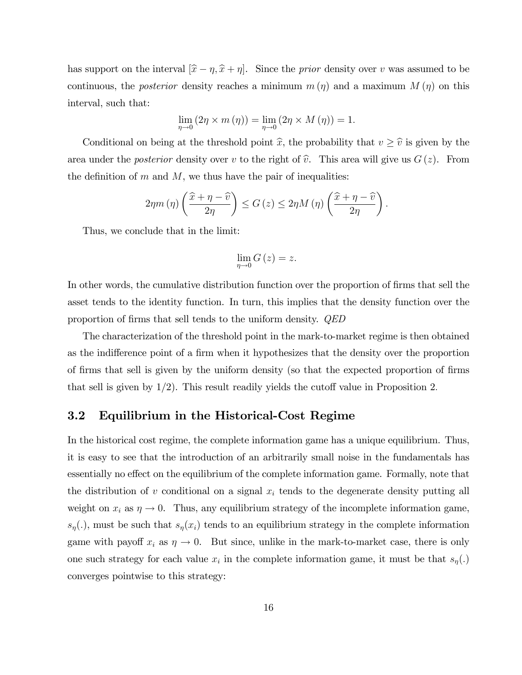has support on the interval  $[\hat{x} - \eta, \hat{x} + \eta]$ . Since the *prior* density over v was assumed to be continuous, the *posterior* density reaches a minimum  $m(\eta)$  and a maximum  $M(\eta)$  on this interval, such that:

$$
\lim_{\eta \to 0} (2\eta \times m(\eta)) = \lim_{\eta \to 0} (2\eta \times M(\eta)) = 1.
$$

Conditional on being at the threshold point  $\hat{x}$ , the probability that  $v \geq \hat{v}$  is given by the area under the *posterior* density over v to the right of  $\hat{v}$ . This area will give us  $G (z)$ . From the definition of m and M, we thus have the pair of inequalities:

$$
2\eta m\left(\eta\right)\left(\frac{\widehat{x}+\eta-\widehat{v}}{2\eta}\right)\leq G\left(z\right)\leq 2\eta M\left(\eta\right)\left(\frac{\widehat{x}+\eta-\widehat{v}}{2\eta}\right).
$$

Thus, we conclude that in the limit:

$$
\lim_{\eta \to 0} G(z) = z.
$$

In other words, the cumulative distribution function over the proportion of firms that sell the asset tends to the identity function. In turn, this implies that the density function over the proportion of firms that sell tends to the uniform density. QED

The characterization of the threshold point in the mark-to-market regime is then obtained as the indifference point of a firm when it hypothesizes that the density over the proportion of firms that sell is given by the uniform density (so that the expected proportion of firms that sell is given by  $1/2$ ). This result readily yields the cutoff value in Proposition 2.

### 3.2 Equilibrium in the Historical-Cost Regime

In the historical cost regime, the complete information game has a unique equilibrium. Thus, it is easy to see that the introduction of an arbitrarily small noise in the fundamentals has essentially no effect on the equilibrium of the complete information game. Formally, note that the distribution of v conditional on a signal  $x_i$  tends to the degenerate density putting all weight on  $x_i$  as  $\eta \to 0$ . Thus, any equilibrium strategy of the incomplete information game,  $s_{\eta}(.)$ , must be such that  $s_{\eta}(x_i)$  tends to an equilibrium strategy in the complete information game with payoff  $x_i$  as  $\eta \to 0$ . But since, unlike in the mark-to-market case, there is only one such strategy for each value  $x_i$  in the complete information game, it must be that  $s_{\eta}(.)$ converges pointwise to this strategy: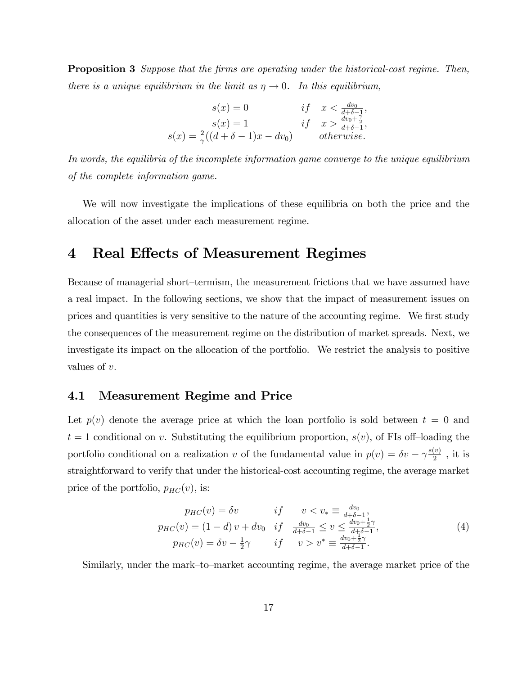**Proposition 3** Suppose that the firms are operating under the historical-cost regime. Then, there is a unique equilibrium in the limit as  $\eta \to 0$ . In this equilibrium,

$$
s(x) = 0
$$
  
\n
$$
s(x) = 1
$$
  
\n
$$
s(x) = 1
$$
  
\n
$$
s(x) = \frac{1}{\gamma}((d + \delta - 1)x - dv_0)
$$
  
\n
$$
i f \quad x > \frac{dv_0 + \frac{\gamma}{2}}{d + \delta - 1},
$$
  
\n
$$
j f \quad x > \frac{dv_0 + \frac{\gamma}{2}}{d + \delta - 1},
$$
  
\n
$$
j f \quad x > \frac{dv_0 + \frac{\gamma}{2}}{d + \delta - 1},
$$

In words, the equilibria of the incomplete information game converge to the unique equilibrium of the complete information game.

We will now investigate the implications of these equilibria on both the price and the allocation of the asset under each measurement regime.

### 4 Real Effects of Measurement Regimes

Because of managerial short-termism, the measurement frictions that we have assumed have a real impact. In the following sections, we show that the impact of measurement issues on prices and quantities is very sensitive to the nature of the accounting regime. We first study the consequences of the measurement regime on the distribution of market spreads. Next, we investigate its impact on the allocation of the portfolio. We restrict the analysis to positive values of  $v$ .

### 4.1 Measurement Regime and Price

Let  $p(v)$  denote the average price at which the loan portfolio is sold between  $t = 0$  and  $t = 1$  conditional on v. Substituting the equilibrium proportion,  $s(v)$ , of FIs off-loading the portfolio conditional on a realization v of the fundamental value in  $p(v) = \delta v - \gamma \frac{s(v)}{2}$  $\frac{(v)}{2}$  , it is straightforward to verify that under the historical-cost accounting regime, the average market price of the portfolio,  $p_{HC}(v)$ , is:

$$
p_{HC}(v) = \delta v \qquad if \qquad v < v_* \equiv \frac{dv_0}{d + \delta - 1},
$$
\n
$$
p_{HC}(v) = (1 - d)v + dv_0 \quad if \quad \frac{dv_0}{d + \delta - 1} \le v \le \frac{dv_0 + \frac{1}{2}\gamma}{d + \delta - 1},
$$
\n
$$
p_{HC}(v) = \delta v - \frac{1}{2}\gamma \qquad if \qquad v > v^* \equiv \frac{dv_0 + \frac{1}{2}\gamma}{d + \delta - 1}.
$$
\n
$$
(4)
$$

Similarly, under the mark-to-market accounting regime, the average market price of the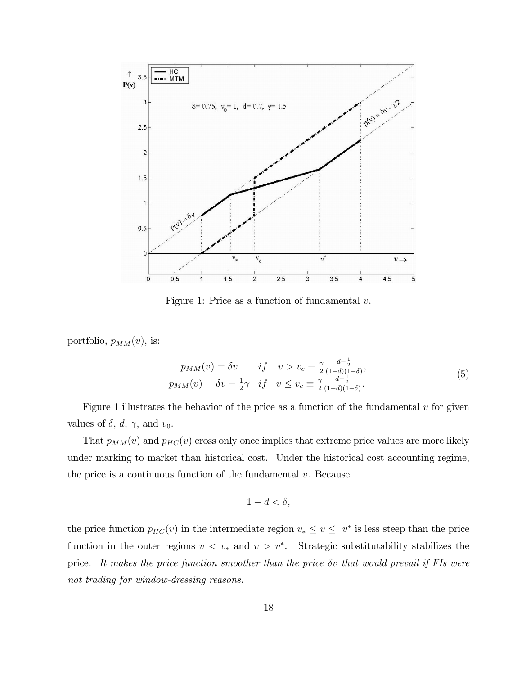

Figure 1: Price as a function of fundamental  $v$ .

portfolio,  $p_{MM}(v)$ , is:

$$
p_{MM}(v) = \delta v \qquad if \quad v > v_c \equiv \frac{\gamma}{2} \frac{d - \frac{1}{2}}{(1 - d)(1 - \delta)},
$$
  
\n
$$
p_{MM}(v) = \delta v - \frac{1}{2} \gamma \quad if \quad v \le v_c \equiv \frac{\gamma}{2} \frac{d - \frac{1}{2}}{(1 - d)(1 - \delta)}.
$$
\n(5)

Figure 1 illustrates the behavior of the price as a function of the fundamental  $v$  for given values of  $\delta$ ,  $d$ ,  $\gamma$ , and  $v_0$ .

That  $p_{MM}(v)$  and  $p_{HC}(v)$  cross only once implies that extreme price values are more likely under marking to market than historical cost. Under the historical cost accounting regime, the price is a continuous function of the fundamental  $v$ . Because

$$
1-d<\delta,
$$

the price function  $p_{HC}(v)$  in the intermediate region  $v_* \le v \le v^*$  is less steep than the price function in the outer regions  $v < v_*$  and  $v > v^*$ . Strategic substitutability stabilizes the price. It makes the price function smoother than the price  $\delta v$  that would prevail if FIs were not trading for window-dressing reasons.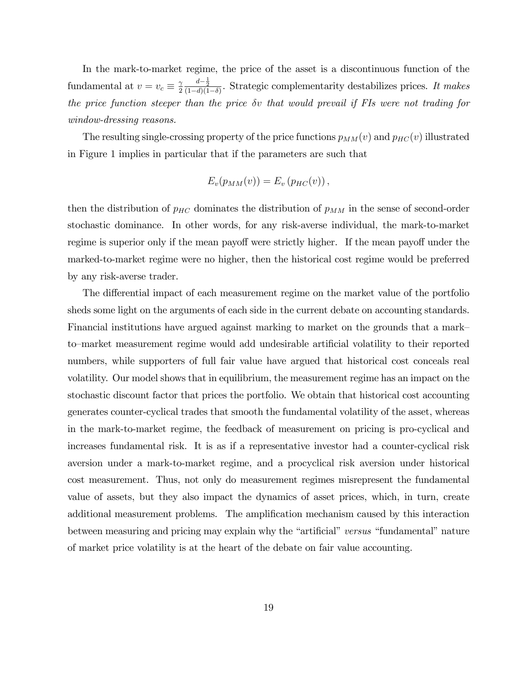In the mark-to-market regime, the price of the asset is a discontinuous function of the fundamental at  $v = v_c \equiv \frac{\gamma}{2}$ 2  $\frac{d-\frac{1}{2}}{(1-d)(1-\delta)}$ . Strategic complementarity destabilizes prices. It makes the price function steeper than the price  $\delta v$  that would prevail if FIs were not trading for window-dressing reasons.

The resulting single-crossing property of the price functions  $p_{MM}(v)$  and  $p_{HC}(v)$  illustrated in Figure 1 implies in particular that if the parameters are such that

$$
E_v(p_{MM}(v)) = E_v(p_{HC}(v)),
$$

then the distribution of  $p_{HC}$  dominates the distribution of  $p_{MM}$  in the sense of second-order stochastic dominance. In other words, for any risk-averse individual, the mark-to-market regime is superior only if the mean payoff were strictly higher. If the mean payoff under the marked-to-market regime were no higher, then the historical cost regime would be preferred by any risk-averse trader.

The differential impact of each measurement regime on the market value of the portfolio sheds some light on the arguments of each side in the current debate on accounting standards. Financial institutions have argued against marking to market on the grounds that a mark– to–market measurement regime would add undesirable artificial volatility to their reported numbers, while supporters of full fair value have argued that historical cost conceals real volatility. Our model shows that in equilibrium, the measurement regime has an impact on the stochastic discount factor that prices the portfolio. We obtain that historical cost accounting generates counter-cyclical trades that smooth the fundamental volatility of the asset, whereas in the mark-to-market regime, the feedback of measurement on pricing is pro-cyclical and increases fundamental risk. It is as if a representative investor had a counter-cyclical risk aversion under a mark-to-market regime, and a procyclical risk aversion under historical cost measurement. Thus, not only do measurement regimes misrepresent the fundamental value of assets, but they also impact the dynamics of asset prices, which, in turn, create additional measurement problems. The amplification mechanism caused by this interaction between measuring and pricing may explain why the "artificial" versus "fundamental" nature of market price volatility is at the heart of the debate on fair value accounting.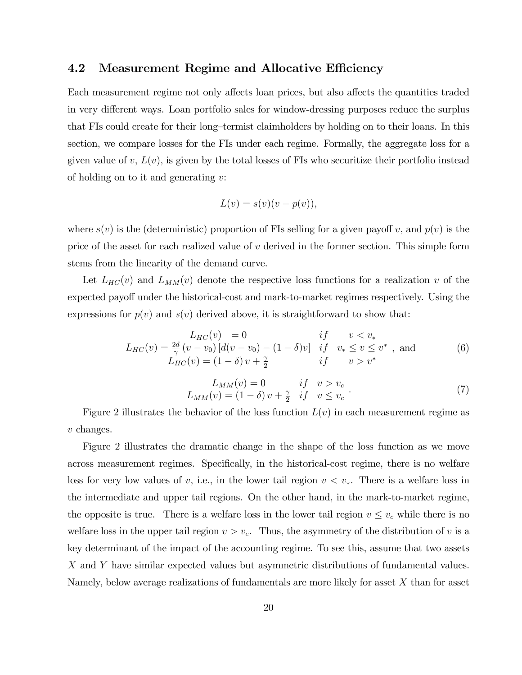#### 4.2 Measurement Regime and Allocative Efficiency

Each measurement regime not only affects loan prices, but also affects the quantities traded in very different ways. Loan portfolio sales for window-dressing purposes reduce the surplus that FIs could create for their long-termist claimholders by holding on to their loans. In this section, we compare losses for the FIs under each regime. Formally, the aggregate loss for a given value of  $v, L(v)$ , is given by the total losses of FIs who securitize their portfolio instead of holding on to it and generating  $v$ :

$$
L(v) = s(v)(v - p(v)),
$$

where  $s(v)$  is the (deterministic) proportion of FIs selling for a given payoff v, and  $p(v)$  is the price of the asset for each realized value of v derived in the former section. This simple form stems from the linearity of the demand curve.

Let  $L_{HC}(v)$  and  $L_{MM}(v)$  denote the respective loss functions for a realization v of the expected payoff under the historical-cost and mark-to-market regimes respectively. Using the expressions for  $p(v)$  and  $s(v)$  derived above, it is straightforward to show that:

$$
L_{HC}(v) = 0 \t\t if \t v < v_*\nL_{HC}(v) = \frac{2d}{\gamma} (v - v_0) [d(v - v_0) - (1 - \delta)v] \t if \t v_* \le v \le v^*, \text{ and} \nL_{HC}(v) = (1 - \delta) v + \frac{\gamma}{2} \t if \t v > v^*
$$
\n(6)

$$
L_{MM}(v) = 0 \t\t if \t v > v_c
$$
  

$$
L_{MM}(v) = (1 - \delta) v + \frac{\gamma}{2} \t if \t v \le v_c
$$
 (7)

Figure 2 illustrates the behavior of the loss function  $L(v)$  in each measurement regime as v changes.

Figure 2 illustrates the dramatic change in the shape of the loss function as we move across measurement regimes. Specifically, in the historical-cost regime, there is no welfare loss for very low values of v, i.e., in the lower tail region  $v < v_*$ . There is a welfare loss in the intermediate and upper tail regions. On the other hand, in the mark-to-market regime, the opposite is true. There is a welfare loss in the lower tail region  $v \leq v_c$  while there is no welfare loss in the upper tail region  $v > v_c$ . Thus, the asymmetry of the distribution of v is a key determinant of the impact of the accounting regime. To see this, assume that two assets X and Y have similar expected values but asymmetric distributions of fundamental values. Namely, below average realizations of fundamentals are more likely for asset X than for asset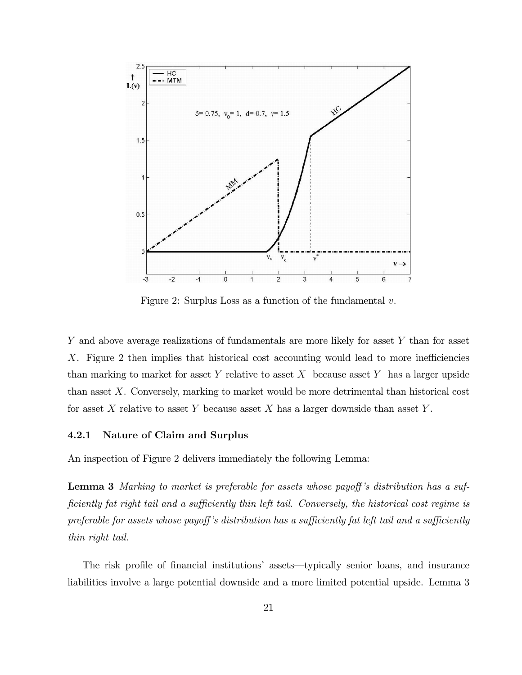

Figure 2: Surplus Loss as a function of the fundamental  $v$ .

Y and above average realizations of fundamentals are more likely for asset Y than for asset  $X$ . Figure 2 then implies that historical cost accounting would lead to more inefficiencies than marking to market for asset Y relative to asset X because asset Y has a larger upside than asset X. Conversely, marking to market would be more detrimental than historical cost for asset  $X$  relative to asset  $Y$  because asset  $X$  has a larger downside than asset  $Y$ .

#### 4.2.1 Nature of Claim and Surplus

An inspection of Figure 2 delivers immediately the following Lemma:

**Lemma 3** Marking to market is preferable for assets whose payoff's distribution has a sufficiently fat right tail and a sufficiently thin left tail. Conversely, the historical cost regime is preferable for assets whose payoff's distribution has a sufficiently fat left tail and a sufficiently thin right tail.

The risk profile of financial institutions' assets—typically senior loans, and insurance liabilities involve a large potential downside and a more limited potential upside. Lemma 3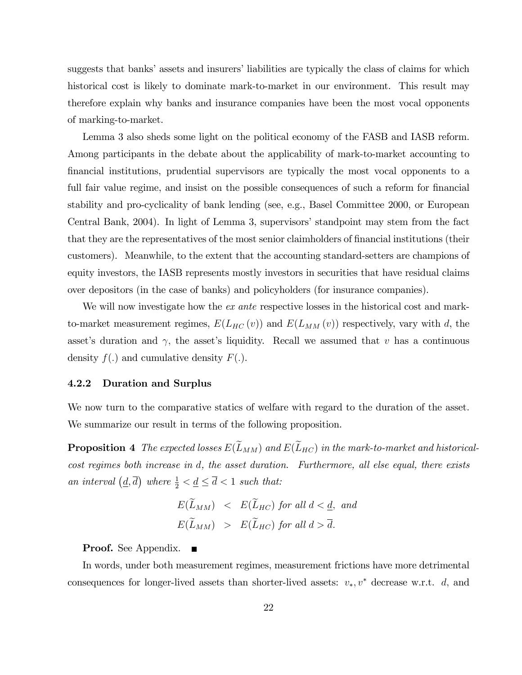suggests that banks' assets and insurers' liabilities are typically the class of claims for which historical cost is likely to dominate mark-to-market in our environment. This result may therefore explain why banks and insurance companies have been the most vocal opponents of marking-to-market.

Lemma 3 also sheds some light on the political economy of the FASB and IASB reform. Among participants in the debate about the applicability of mark-to-market accounting to Önancial institutions, prudential supervisors are typically the most vocal opponents to a full fair value regime, and insist on the possible consequences of such a reform for financial stability and pro-cyclicality of bank lending (see, e.g., Basel Committee 2000, or European Central Bank, 2004). In light of Lemma 3, supervisors' standpoint may stem from the fact that they are the representatives of the most senior claimholders of financial institutions (their customers). Meanwhile, to the extent that the accounting standard-setters are champions of equity investors, the IASB represents mostly investors in securities that have residual claims over depositors (in the case of banks) and policyholders (for insurance companies).

We will now investigate how the *ex ante* respective losses in the historical cost and markto-market measurement regimes,  $E(L_{HC}(v))$  and  $E(L_{MM}(v))$  respectively, vary with d, the asset's duration and  $\gamma$ , the asset's liquidity. Recall we assumed that v has a continuous density  $f(.)$  and cumulative density  $F(.)$ .

#### 4.2.2 Duration and Surplus

We now turn to the comparative statics of welfare with regard to the duration of the asset. We summarize our result in terms of the following proposition.

**Proposition 4** The expected losses  $E(\widetilde{L}_{MM})$  and  $E(\widetilde{L}_{HC})$  in the mark-to-market and historicalcost regimes both increase in d, the asset duration. Furthermore, all else equal, there exists an interval  $(\underline{d}, \overline{d})$  where  $\frac{1}{2} < \underline{d} \leq \overline{d} < 1$  such that:

$$
E(\widetilde{L}_{MM}) < E(\widetilde{L}_{HC}) \text{ for all } d < \underline{d}, \text{ and}
$$
\n
$$
E(\widetilde{L}_{MM}) > E(\widetilde{L}_{HC}) \text{ for all } d > \overline{d}.
$$

Proof. See Appendix.

In words, under both measurement regimes, measurement frictions have more detrimental consequences for longer-lived assets than shorter-lived assets:  $v_*, v^*$  decrease w.r.t. d, and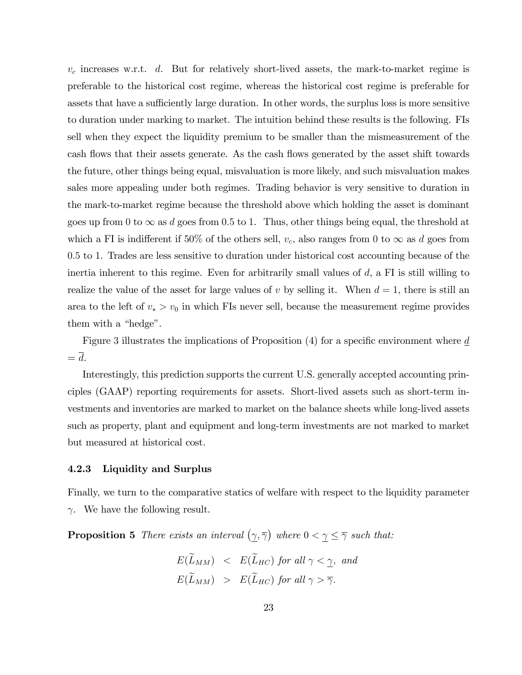$v_c$  increases w.r.t. d. But for relatively short-lived assets, the mark-to-market regime is preferable to the historical cost regime, whereas the historical cost regime is preferable for assets that have a sufficiently large duration. In other words, the surplus loss is more sensitive to duration under marking to market. The intuition behind these results is the following. FIs sell when they expect the liquidity premium to be smaller than the mismeasurement of the cash flows that their assets generate. As the cash flows generated by the asset shift towards the future, other things being equal, misvaluation is more likely, and such misvaluation makes sales more appealing under both regimes. Trading behavior is very sensitive to duration in the mark-to-market regime because the threshold above which holding the asset is dominant goes up from 0 to  $\infty$  as d goes from 0.5 to 1. Thus, other things being equal, the threshold at which a FI is indifferent if 50% of the others sell,  $v_c$ , also ranges from 0 to  $\infty$  as d goes from 0:5 to 1. Trades are less sensitive to duration under historical cost accounting because of the inertia inherent to this regime. Even for arbitrarily small values of  $d$ , a FI is still willing to realize the value of the asset for large values of v by selling it. When  $d = 1$ , there is still an area to the left of  $v_* > v_0$  in which FIs never sell, because the measurement regime provides them with a "hedge".

Figure 3 illustrates the implications of Proposition  $(4)$  for a specific environment where d  $=\overline{d}$ .

Interestingly, this prediction supports the current U.S. generally accepted accounting principles (GAAP) reporting requirements for assets. Short-lived assets such as short-term investments and inventories are marked to market on the balance sheets while long-lived assets such as property, plant and equipment and long-term investments are not marked to market but measured at historical cost.

#### 4.2.3 Liquidity and Surplus

Finally, we turn to the comparative statics of welfare with respect to the liquidity parameter  $\gamma$ . We have the following result.

**Proposition 5** There exists an interval  $(\underline{\gamma}, \overline{\gamma})$  where  $0 < \underline{\gamma} \leq \overline{\gamma}$  such that:

$$
E(\widetilde{L}_{MM}) < E(\widetilde{L}_{HC}) \text{ for all } \gamma < \underline{\gamma}, \text{ and}
$$
\n
$$
E(\widetilde{L}_{MM}) > E(\widetilde{L}_{HC}) \text{ for all } \gamma > \overline{\gamma}.
$$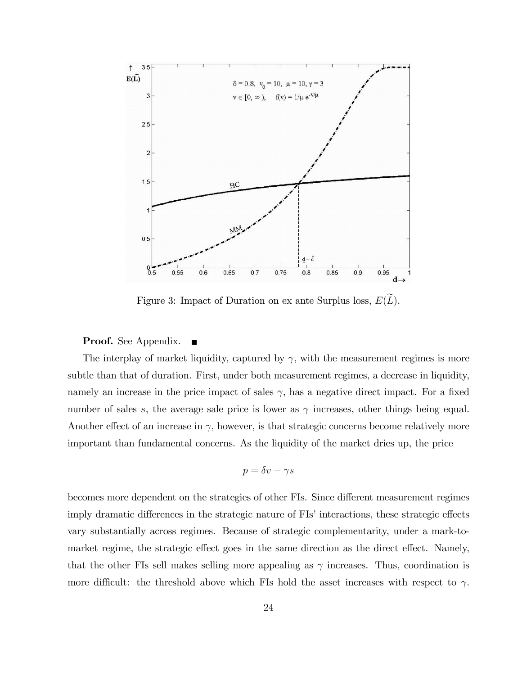

Figure 3: Impact of Duration on ex ante Surplus loss,  $E(\widetilde{L})$ .

#### Proof. See Appendix.

The interplay of market liquidity, captured by  $\gamma$ , with the measurement regimes is more subtle than that of duration. First, under both measurement regimes, a decrease in liquidity, namely an increase in the price impact of sales  $\gamma$ , has a negative direct impact. For a fixed number of sales s, the average sale price is lower as  $\gamma$  increases, other things being equal. Another effect of an increase in  $\gamma$ , however, is that strategic concerns become relatively more important than fundamental concerns. As the liquidity of the market dries up, the price

$$
p = \delta v - \gamma s
$$

becomes more dependent on the strategies of other FIs. Since different measurement regimes imply dramatic differences in the strategic nature of FIs' interactions, these strategic effects vary substantially across regimes. Because of strategic complementarity, under a mark-tomarket regime, the strategic effect goes in the same direction as the direct effect. Namely, that the other FIs sell makes selling more appealing as  $\gamma$  increases. Thus, coordination is more difficult: the threshold above which FIs hold the asset increases with respect to  $\gamma$ .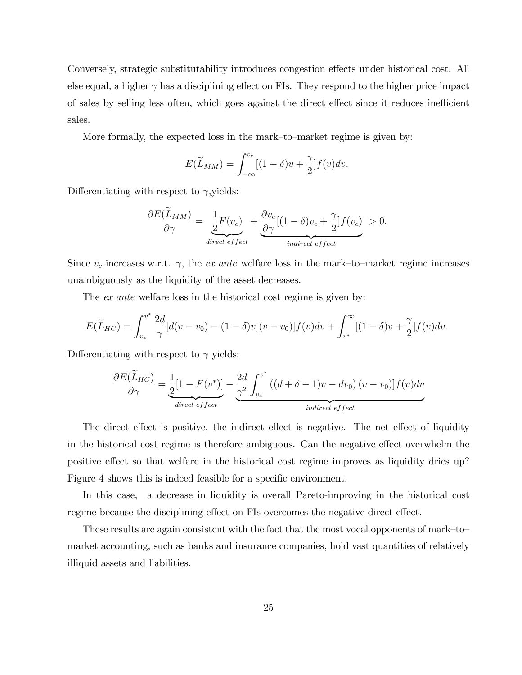Conversely, strategic substitutability introduces congestion effects under historical cost. All else equal, a higher  $\gamma$  has a disciplining effect on FIs. They respond to the higher price impact of sales by selling less often, which goes against the direct effect since it reduces inefficient sales.

More formally, the expected loss in the mark-to-market regime is given by:

$$
E(\widetilde{L}_{MM}) = \int_{-\infty}^{v_c} [(1-\delta)v + \frac{\gamma}{2}] f(v) dv.
$$

Differentiating with respect to  $\gamma$ , yields:

$$
\frac{\partial E(\tilde{L}_{MM})}{\partial \gamma} = \underbrace{\frac{1}{2}F(v_c)}_{direct\, effect} + \underbrace{\frac{\partial v_c}{\partial \gamma}[(1-\delta)v_c + \frac{\gamma}{2}]f(v_c)}_{indirect\, effect} > 0.
$$

Since  $v_c$  increases w.r.t.  $\gamma$ , the *ex ante* welfare loss in the mark-to-market regime increases unambiguously as the liquidity of the asset decreases.

The *ex ante* welfare loss in the historical cost regime is given by:

$$
E(\widetilde{L}_{HC}) = \int_{v_*}^{v^*} \frac{2d}{\gamma} [d(v - v_0) - (1 - \delta)v](v - v_0)] f(v) dv + \int_{v^*}^{\infty} [(1 - \delta)v + \frac{\gamma}{2}] f(v) dv.
$$

Differentiating with respect to  $\gamma$  yields:

$$
\frac{\partial E(\widetilde{L}_{HC})}{\partial \gamma} = \underbrace{\frac{1}{2}[1 - F(v^*)]}_{direct\ effect} - \underbrace{\frac{2d}{\gamma^2} \int_{v_*}^{v^*} ((d + \delta - 1)v - dv_0) (v - v_0)] f(v) dv}_{indirect\ effect}
$$

The direct effect is positive, the indirect effect is negative. The net effect of liquidity in the historical cost regime is therefore ambiguous. Can the negative effect overwhelm the positive effect so that welfare in the historical cost regime improves as liquidity dries up? Figure 4 shows this is indeed feasible for a specific environment.

In this case, a decrease in liquidity is overall Pareto-improving in the historical cost regime because the disciplining effect on FIs overcomes the negative direct effect.

These results are again consistent with the fact that the most vocal opponents of mark-tomarket accounting, such as banks and insurance companies, hold vast quantities of relatively illiquid assets and liabilities.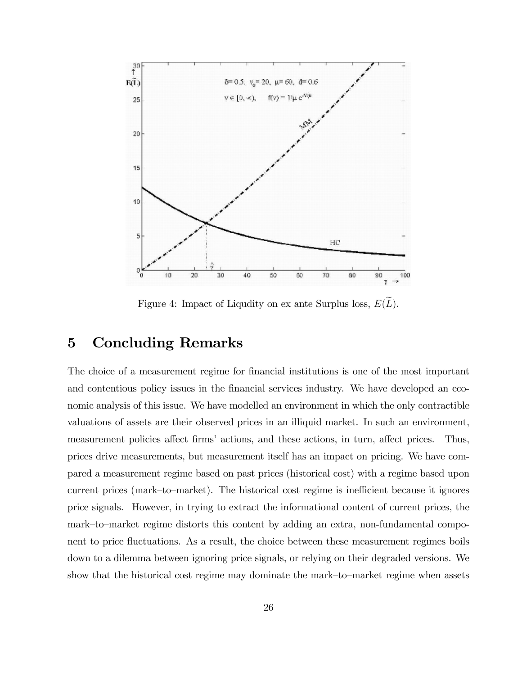

Figure 4: Impact of Liqudity on ex ante Surplus loss,  $E(L)$ .

## 5 Concluding Remarks

The choice of a measurement regime for financial institutions is one of the most important and contentious policy issues in the financial services industry. We have developed an economic analysis of this issue. We have modelled an environment in which the only contractible valuations of assets are their observed prices in an illiquid market. In such an environment, measurement policies affect firms' actions, and these actions, in turn, affect prices. Thus, prices drive measurements, but measurement itself has an impact on pricing. We have compared a measurement regime based on past prices (historical cost) with a regime based upon current prices (mark–to–market). The historical cost regime is inefficient because it ignores price signals. However, in trying to extract the informational content of current prices, the mark-to-market regime distorts this content by adding an extra, non-fundamental component to price fluctuations. As a result, the choice between these measurement regimes boils down to a dilemma between ignoring price signals, or relying on their degraded versions. We show that the historical cost regime may dominate the mark-to-market regime when assets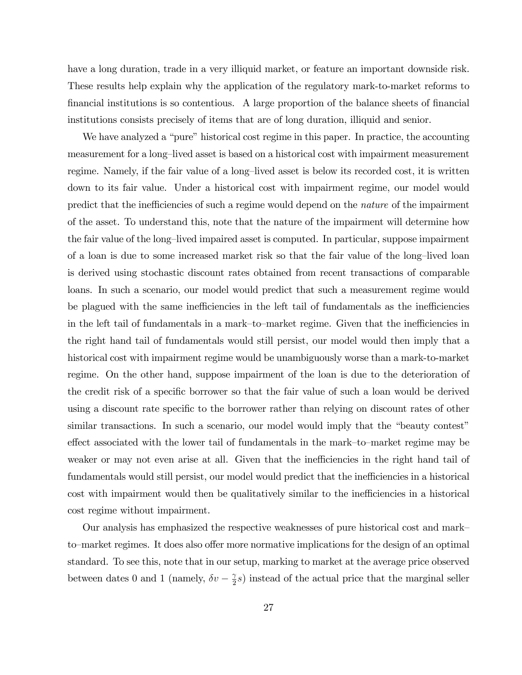have a long duration, trade in a very illiquid market, or feature an important downside risk. These results help explain why the application of the regulatory mark-to-market reforms to Önancial institutions is so contentious. A large proportion of the balance sheets of Önancial institutions consists precisely of items that are of long duration, illiquid and senior.

We have analyzed a "pure" historical cost regime in this paper. In practice, the accounting measurement for a long-lived asset is based on a historical cost with impairment measurement regime. Namely, if the fair value of a long-lived asset is below its recorded cost, it is written down to its fair value. Under a historical cost with impairment regime, our model would predict that the inefficiencies of such a regime would depend on the *nature* of the impairment of the asset. To understand this, note that the nature of the impairment will determine how the fair value of the long-lived impaired asset is computed. In particular, suppose impairment of a loan is due to some increased market risk so that the fair value of the long-lived loan is derived using stochastic discount rates obtained from recent transactions of comparable loans. In such a scenario, our model would predict that such a measurement regime would be plagued with the same inefficiencies in the left tail of fundamentals as the inefficiencies in the left tail of fundamentals in a mark–to–market regime. Given that the inefficiencies in the right hand tail of fundamentals would still persist, our model would then imply that a historical cost with impairment regime would be unambiguously worse than a mark-to-market regime. On the other hand, suppose impairment of the loan is due to the deterioration of the credit risk of a specific borrower so that the fair value of such a loan would be derived using a discount rate specific to the borrower rather than relying on discount rates of other similar transactions. In such a scenario, our model would imply that the "beauty contest" effect associated with the lower tail of fundamentals in the mark-to-market regime may be weaker or may not even arise at all. Given that the inefficiencies in the right hand tail of fundamentals would still persist, our model would predict that the inefficiencies in a historical cost with impairment would then be qualitatively similar to the inefficiencies in a historical cost regime without impairment.

Our analysis has emphasized the respective weaknesses of pure historical cost and mark– to–market regimes. It does also offer more normative implications for the design of an optimal standard. To see this, note that in our setup, marking to market at the average price observed between dates 0 and 1 (namely,  $\delta v - \frac{\gamma}{2}$  $\frac{\gamma}{2}$ s) instead of the actual price that the marginal seller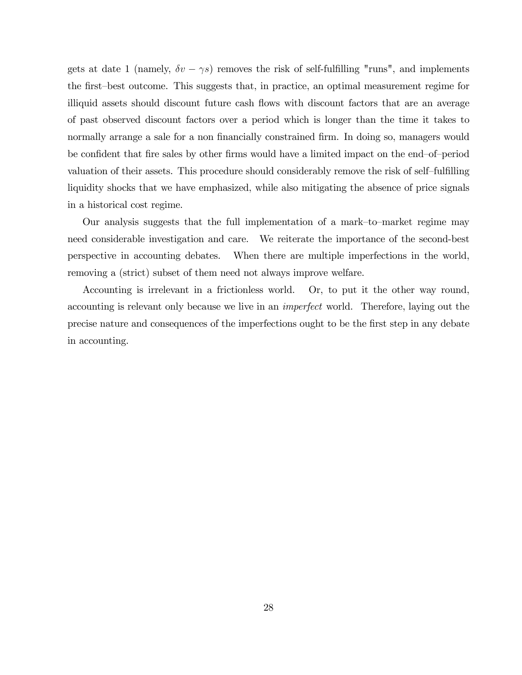gets at date 1 (namely,  $\delta v - \gamma s$ ) removes the risk of self-fulfilling "runs", and implements the first–best outcome. This suggests that, in practice, an optimal measurement regime for illiquid assets should discount future cash flows with discount factors that are an average of past observed discount factors over a period which is longer than the time it takes to normally arrange a sale for a non-financially constrained firm. In doing so, managers would be confident that fire sales by other firms would have a limited impact on the end-of-period valuation of their assets. This procedure should considerably remove the risk of self-fulfilling liquidity shocks that we have emphasized, while also mitigating the absence of price signals in a historical cost regime.

Our analysis suggests that the full implementation of a mark-to-market regime may need considerable investigation and care. We reiterate the importance of the second-best perspective in accounting debates. When there are multiple imperfections in the world, removing a (strict) subset of them need not always improve welfare.

Accounting is irrelevant in a frictionless world. Or, to put it the other way round, accounting is relevant only because we live in an imperfect world. Therefore, laying out the precise nature and consequences of the imperfections ought to be the Örst step in any debate in accounting.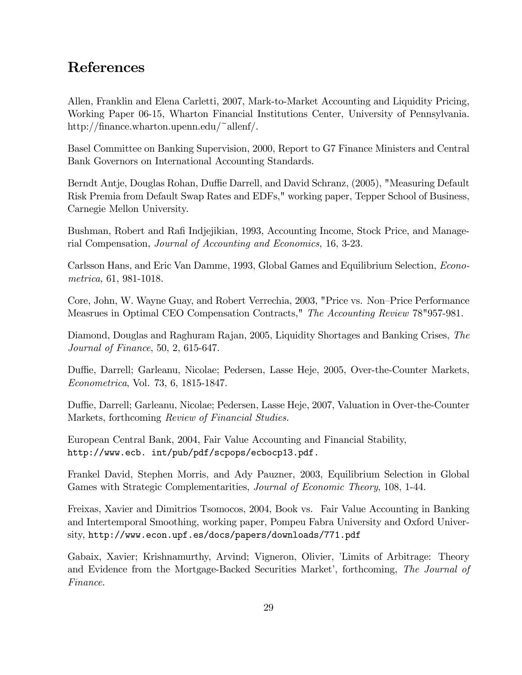# References

Allen, Franklin and Elena Carletti, 2007, Mark-to-Market Accounting and Liquidity Pricing, Working Paper 06-15, Wharton Financial Institutions Center, University of Pennsylvania. http://finance.wharton.upenn.edu/~allenf/.

Basel Committee on Banking Supervision, 2000, Report to G7 Finance Ministers and Central Bank Governors on International Accounting Standards.

Berndt Antje, Douglas Rohan, Duffie Darrell, and David Schranz, (2005), "Measuring Default Risk Premia from Default Swap Rates and EDFs," working paper, Tepper School of Business, Carnegie Mellon University.

Bushman, Robert and Rafi Indjejikian, 1993, Accounting Income, Stock Price, and Managerial Compensation, Journal of Accounting and Economics, 16, 3-23.

Carlsson Hans, and Eric Van Damme, 1993, Global Games and Equilibrium Selection, Econometrica, 61, 981-1018.

Core, John, W. Wayne Guay, and Robert Verrechia, 2003, "Price vs. Non-Price Performance Measrues in Optimal CEO Compensation Contracts," The Accounting Review 78"957-981.

Diamond, Douglas and Raghuram Rajan, 2005, Liquidity Shortages and Banking Crises, The Journal of Finance, 50, 2, 615-647.

Duffie, Darrell; Garleanu, Nicolae; Pedersen, Lasse Heje, 2005, Over-the-Counter Markets, Econometrica, Vol. 73, 6, 1815-1847.

Duffie, Darrell; Garleanu, Nicolae; Pedersen, Lasse Heje, 2007, Valuation in Over-the-Counter Markets, forthcoming Review of Financial Studies.

European Central Bank, 2004, Fair Value Accounting and Financial Stability, http://www.ecb. int/pub/pdf/scpops/ecbocp13.pdf.

Frankel David, Stephen Morris, and Ady Pauzner, 2003, Equilibrium Selection in Global Games with Strategic Complementarities, Journal of Economic Theory, 108, 1-44.

Freixas, Xavier and Dimitrios Tsomocos, 2004, Book vs. Fair Value Accounting in Banking and Intertemporal Smoothing, working paper, Pompeu Fabra University and Oxford University, http://www.econ.upf.es/docs/papers/downloads/771.pdf

Gabaix, Xavier; Krishnamurthy, Arvind; Vigneron, Olivier, 'Limits of Arbitrage: Theory and Evidence from the Mortgage-Backed Securities Market', forthcoming, The Journal of Finance.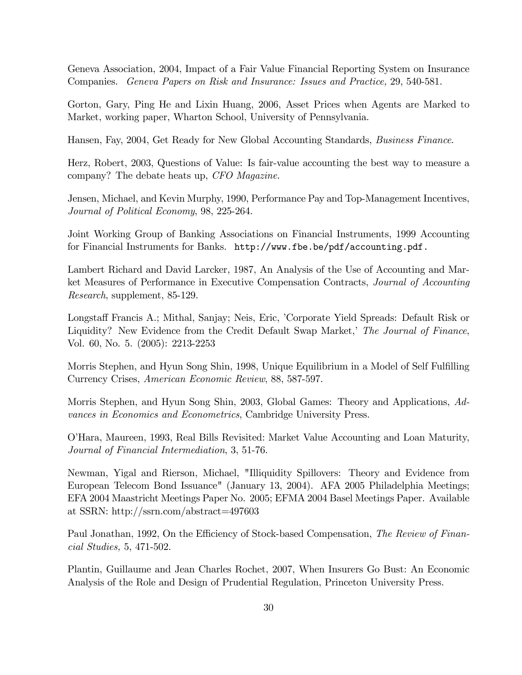Geneva Association, 2004, Impact of a Fair Value Financial Reporting System on Insurance Companies. Geneva Papers on Risk and Insurance: Issues and Practice, 29, 540-581.

Gorton, Gary, Ping He and Lixin Huang, 2006, Asset Prices when Agents are Marked to Market, working paper, Wharton School, University of Pennsylvania.

Hansen, Fay, 2004, Get Ready for New Global Accounting Standards, Business Finance.

Herz, Robert, 2003, Questions of Value: Is fair-value accounting the best way to measure a company? The debate heats up, CFO Magazine.

Jensen, Michael, and Kevin Murphy, 1990, Performance Pay and Top-Management Incentives, Journal of Political Economy, 98, 225-264.

Joint Working Group of Banking Associations on Financial Instruments, 1999 Accounting for Financial Instruments for Banks. http://www.fbe.be/pdf/accounting.pdf.

Lambert Richard and David Larcker, 1987, An Analysis of the Use of Accounting and Market Measures of Performance in Executive Compensation Contracts, Journal of Accounting Research, supplement, 85-129.

Longstaff Francis A.; Mithal, Sanjay; Neis, Eric, 'Corporate Yield Spreads: Default Risk or Liquidity? New Evidence from the Credit Default Swap Market, The Journal of Finance, Vol. 60, No. 5. (2005): 2213-2253

Morris Stephen, and Hyun Song Shin, 1998, Unique Equilibrium in a Model of Self Fulfilling Currency Crises, American Economic Review, 88, 587-597.

Morris Stephen, and Hyun Song Shin, 2003, Global Games: Theory and Applications, Advances in Economics and Econometrics, Cambridge University Press.

OíHara, Maureen, 1993, Real Bills Revisited: Market Value Accounting and Loan Maturity, Journal of Financial Intermediation, 3, 51-76.

Newman, Yigal and Rierson, Michael, "Illiquidity Spillovers: Theory and Evidence from European Telecom Bond Issuance" (January 13, 2004). AFA 2005 Philadelphia Meetings; EFA 2004 Maastricht Meetings Paper No. 2005; EFMA 2004 Basel Meetings Paper. Available at SSRN: http://ssrn.com/abstract=497603

Paul Jonathan, 1992, On the Efficiency of Stock-based Compensation, The Review of Financial Studies, 5, 471-502.

Plantin, Guillaume and Jean Charles Rochet, 2007, When Insurers Go Bust: An Economic Analysis of the Role and Design of Prudential Regulation, Princeton University Press.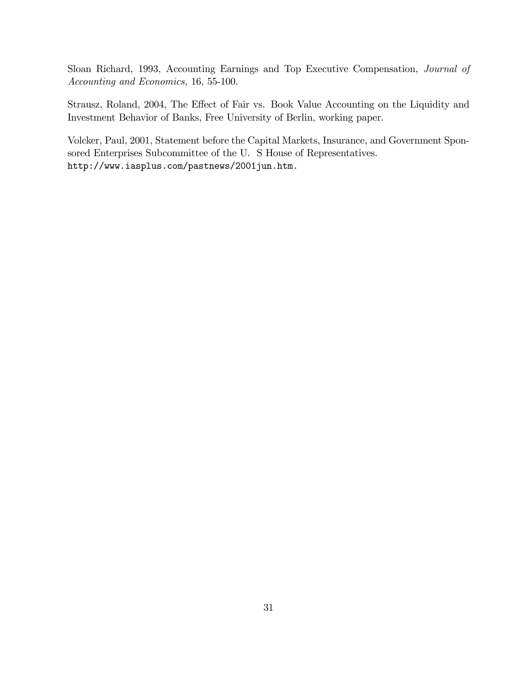Sloan Richard, 1993, Accounting Earnings and Top Executive Compensation, Journal of Accounting and Economics, 16, 55-100.

Strausz, Roland, 2004, The Effect of Fair vs. Book Value Accounting on the Liquidity and Investment Behavior of Banks, Free University of Berlin, working paper.

Volcker, Paul, 2001, Statement before the Capital Markets, Insurance, and Government Sponsored Enterprises Subcommittee of the U. S House of Representatives. http://www.iasplus.com/pastnews/2001jun.htm.